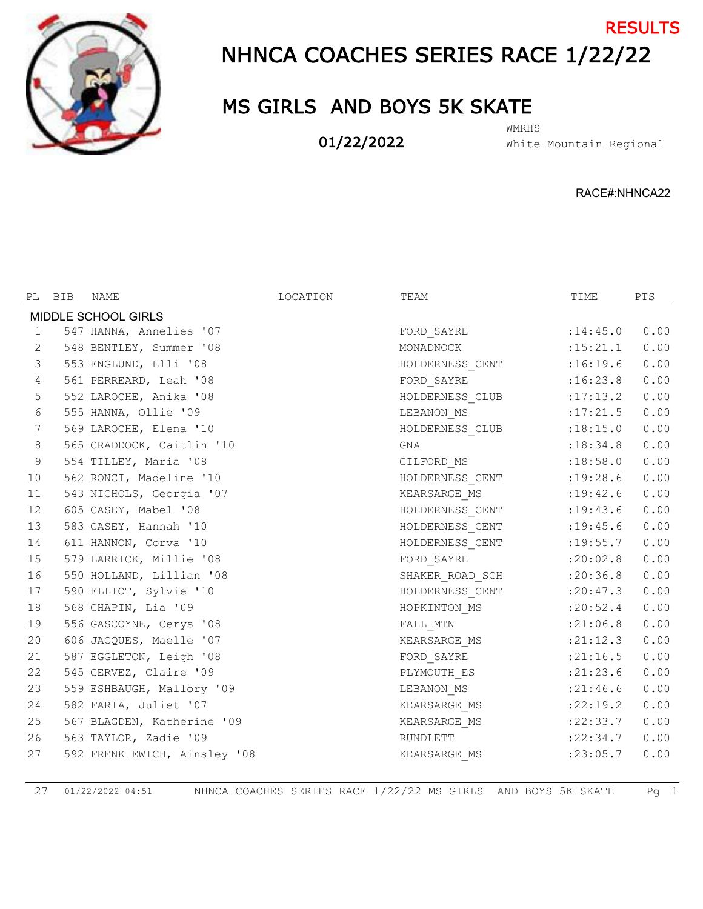

## NHNCA COACHES SERIES RACE 1/22/22 RESULTS

## MS GIRLS AND BOYS 5K SKATE

01/22/2022

White Mountain Regional WMRHS

RACE#:NHNCA22

|                 | PL BIB | NAME                         | LOCATION | TEAM                     | TIME       | PTS  |
|-----------------|--------|------------------------------|----------|--------------------------|------------|------|
|                 |        | MIDDLE SCHOOL GIRLS          |          |                          |            |      |
| 1               |        | 547 HANNA, Annelies '07      |          | FORD_SAYRE               | : 14:45.0  | 0.00 |
| 2               |        | 548 BENTLEY, Summer '08      |          | MONADNOCK                | : 15: 21.1 | 0.00 |
| $\mathcal{S}$   |        | 553 ENGLUND, Elli '08        |          | HOLDERNESS_CENT          | :16:19.6   | 0.00 |
| 4               |        | 561 PERREARD, Leah '08       |          | FORD SAYRE               | :16:23.8   | 0.00 |
| 5               |        | 552 LAROCHE, Anika '08       |          | HOLDERNESS CLUB :17:13.2 |            | 0.00 |
| 6               |        | 555 HANNA, Ollie '09         |          | LEBANON_MS               | : 17: 21.5 | 0.00 |
| $7\phantom{.0}$ |        | 569 LAROCHE, Elena '10       |          | HOLDERNESS_CLUB          | : 18: 15.0 | 0.00 |
| 8               |        | 565 CRADDOCK, Caitlin '10    |          | GNA                      | : 18:34.8  | 0.00 |
| $\overline{9}$  |        | 554 TILLEY, Maria '08        |          | GILFORD_MS               | :18:58.0   | 0.00 |
| 10              |        | 562 RONCI, Madeline '10      |          | HOLDERNESS_CENT :19:28.6 |            | 0.00 |
| 11              |        | 543 NICHOLS, Georgia '07     |          | KEARSARGE_MS             | : 19: 42.6 | 0.00 |
| 12              |        | 605 CASEY, Mabel '08         |          | HOLDERNESS_CENT :19:43.6 |            | 0.00 |
| 13              |        | 583 CASEY, Hannah '10        |          | HOLDERNESS_CENT :19:45.6 |            | 0.00 |
| 14              |        | 611 HANNON, Corva '10        |          | HOLDERNESS CENT :19:55.7 |            | 0.00 |
| 15              |        | 579 LARRICK, Millie '08      |          | FORD SAYRE               | :20:02.8   | 0.00 |
| 16              |        | 550 HOLLAND, Lillian '08     |          | SHAKER_ROAD_SCH :20:36.8 |            | 0.00 |
| 17              |        | 590 ELLIOT, Sylvie '10       |          | HOLDERNESS_CENT :20:47.3 |            | 0.00 |
| 18              |        | 568 CHAPIN, Lia '09          |          | HOPKINTON MS             | : 20:52.4  | 0.00 |
| 19              |        | 556 GASCOYNE, Cerys '08      |          | FALL MTN                 | : 21:06.8  | 0.00 |
| 20              |        | 606 JACQUES, Maelle '07      |          | KEARSARGE MS             | : 21: 12.3 | 0.00 |
| 21              |        | 587 EGGLETON, Leigh '08      |          | FORD_SAYRE               | : 21:16.5  | 0.00 |
| 22              |        | 545 GERVEZ, Claire '09       |          | PLYMOUTH_ES              | : 21: 23.6 | 0.00 |
| 23              |        | 559 ESHBAUGH, Mallory '09    |          | LEBANON_MS               | : 21:46.6  | 0.00 |
| 24              |        | 582 FARIA, Juliet '07        |          | KEARSARGE MS             | :22:19.2   | 0.00 |
| 25              |        | 567 BLAGDEN, Katherine '09   |          | KEARSARGE MS             | :22:33.7   | 0.00 |
| 26              |        | 563 TAYLOR, Zadie '09        |          | RUNDLETT                 | : 22: 34.7 | 0.00 |
| 27              |        | 592 FRENKIEWICH, Ainsley '08 |          | KEARSARGE_MS             | : 23:05.7  | 0.00 |
|                 |        |                              |          |                          |            |      |

01/22/2022 04:51 NHNCA COACHES SERIES RACE 1/22/22 MS GIRLS AND BOYS 5K SKATE Pg 1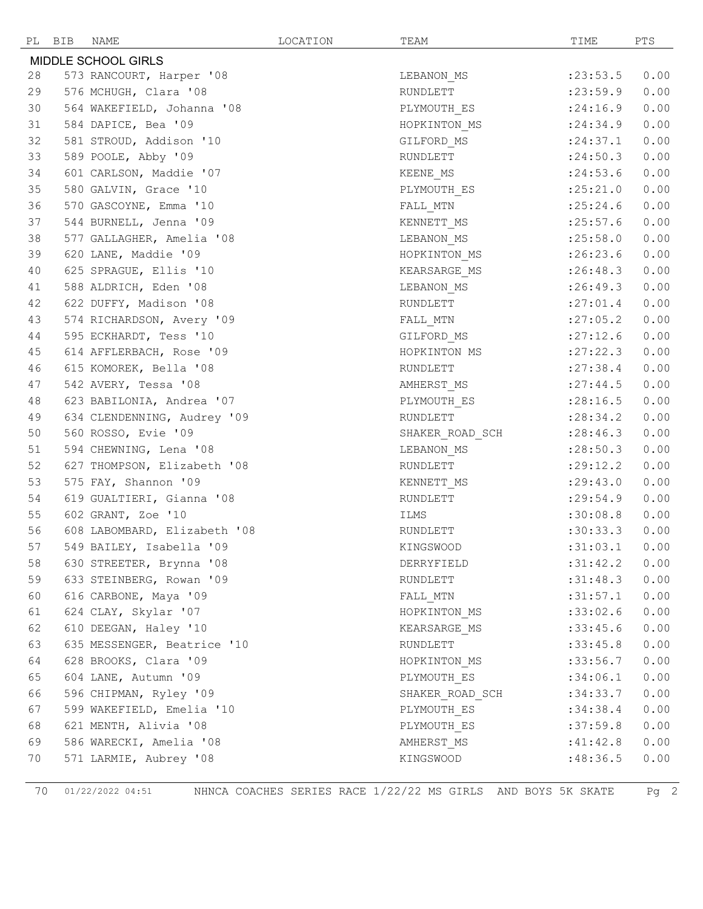|    | PL BIB | NAME                         | LOCATION | TEAM                     | TIME       | PTS  |
|----|--------|------------------------------|----------|--------------------------|------------|------|
|    |        | <b>MIDDLE SCHOOL GIRLS</b>   |          |                          |            |      |
| 28 |        | 573 RANCOURT, Harper '08     |          | LEBANON MS               | : 23: 53.5 | 0.00 |
| 29 |        | 576 MCHUGH, Clara '08        |          | RUNDLETT                 | : 23: 59.9 | 0.00 |
| 30 |        | 564 WAKEFIELD, Johanna '08   |          | PLYMOUTH_ES              | : 24:16.9  | 0.00 |
| 31 |        | 584 DAPICE, Bea '09          |          | HOPKINTON_MS             | : 24:34.9  | 0.00 |
| 32 |        | 581 STROUD, Addison '10      |          | GILFORD_MS               | : 24:37.1  | 0.00 |
| 33 |        | 589 POOLE, Abby '09          |          | RUNDLETT                 | : 24:50.3  | 0.00 |
| 34 |        | 601 CARLSON, Maddie '07      |          | KEENE_MS                 | : 24:53.6  | 0.00 |
| 35 |        | 580 GALVIN, Grace '10        |          | PLYMOUTH ES              | :25:21.0   | 0.00 |
| 36 |        | 570 GASCOYNE, Emma '10       |          | FALL_MTN                 | : 25: 24.6 | 0.00 |
| 37 |        | 544 BURNELL, Jenna '09       |          | KENNETT_MS               | : 25:57.6  | 0.00 |
| 38 |        | 577 GALLAGHER, Amelia '08    |          | LEBANON_MS               | :25:58.0   | 0.00 |
| 39 |        | 620 LANE, Maddie '09         |          | HOPKINTON MS             | :26:23.6   | 0.00 |
| 40 |        | 625 SPRAGUE, Ellis '10       |          | KEARSARGE MS             | :26:48.3   | 0.00 |
| 41 |        | 588 ALDRICH, Eden '08        |          | LEBANON MS               | :26:49.3   | 0.00 |
| 42 |        | 622 DUFFY, Madison '08       |          | RUNDLETT                 | : 27:01.4  | 0.00 |
| 43 |        | 574 RICHARDSON, Avery '09    |          | FALL MTN                 | : 27:05.2  | 0.00 |
| 44 |        | 595 ECKHARDT, Tess '10       |          | GILFORD_MS               | : 27:12.6  | 0.00 |
| 45 |        | 614 AFFLERBACH, Rose '09     |          | HOPKINTON MS             | : 27: 22.3 | 0.00 |
| 46 |        | 615 KOMOREK, Bella '08       |          | RUNDLETT                 | : 27:38.4  | 0.00 |
| 47 |        | 542 AVERY, Tessa '08         |          | AMHERST_MS               | : 27:44.5  | 0.00 |
| 48 |        | 623 BABILONIA, Andrea '07    |          | PLYMOUTH ES              | : 28:16.5  | 0.00 |
| 49 |        | 634 CLENDENNING, Audrey '09  |          | RUNDLETT                 | : 28:34.2  | 0.00 |
| 50 |        | 560 ROSSO, Evie '09          |          | SHAKER_ROAD_SCH          | : 28:46.3  | 0.00 |
| 51 |        | 594 CHEWNING, Lena '08       |          | LEBANON MS               | : 28:50.3  | 0.00 |
| 52 |        | 627 THOMPSON, Elizabeth '08  |          | RUNDLETT                 | : 29:12.2  | 0.00 |
| 53 |        | 575 FAY, Shannon '09         |          | KENNETT_MS               | : 29: 43.0 | 0.00 |
| 54 |        | 619 GUALTIERI, Gianna '08    |          | RUNDLETT                 | : 29:54.9  | 0.00 |
| 55 |        | 602 GRANT, Zoe '10           |          | ILMS                     | :30:08.8   | 0.00 |
| 56 |        | 608 LABOMBARD, Elizabeth '08 |          | RUNDLETT                 | :30:33.3   | 0.00 |
| 57 |        | 549 BAILEY, Isabella '09     |          | KINGSWOOD                | :31:03.1   | 0.00 |
| 58 |        | 630 STREETER, Brynna '08     |          | DERRYFIELD               | :31:42.2   | 0.00 |
| 59 |        | 633 STEINBERG, Rowan '09     |          | RUNDLETT                 | :31:48.3   | 0.00 |
| 60 |        | 616 CARBONE, Maya '09        |          | FALL MTN                 | :31:57.1   | 0.00 |
| 61 |        | 624 CLAY, Skylar '07         |          | HOPKINTON MS :33:02.6    |            | 0.00 |
| 62 |        | 610 DEEGAN, Haley '10        |          | KEARSARGE MS             | :33:45.6   | 0.00 |
| 63 |        | 635 MESSENGER, Beatrice '10  |          | RUNDLETT                 | :33:45.8   | 0.00 |
| 64 |        | 628 BROOKS, Clara '09        |          | HOPKINTON MS             | :33:56.7   | 0.00 |
| 65 |        | 604 LANE, Autumn '09         |          | PLYMOUTH ES              | :34:06.1   | 0.00 |
| 66 |        | 596 CHIPMAN, Ryley '09       |          | SHAKER_ROAD_SCH :34:33.7 |            | 0.00 |
| 67 |        | 599 WAKEFIELD, Emelia '10    |          | PLYMOUTH ES              | :34:38.4   | 0.00 |
| 68 |        | 621 MENTH, Alivia '08        |          | PLYMOUTH ES              | :37:59.8   | 0.00 |
| 69 |        | 586 WARECKI, Amelia '08      |          | AMHERST_MS               | :41:42.8   | 0.00 |
| 70 |        | 571 LARMIE, Aubrey '08       |          | KINGSWOOD                | :48:36.5   | 0.00 |
|    |        |                              |          |                          |            |      |

01/22/2022 04:51 NHNCA COACHES SERIES RACE 1/22/22 MS GIRLS AND BOYS 5K SKATE Pg 2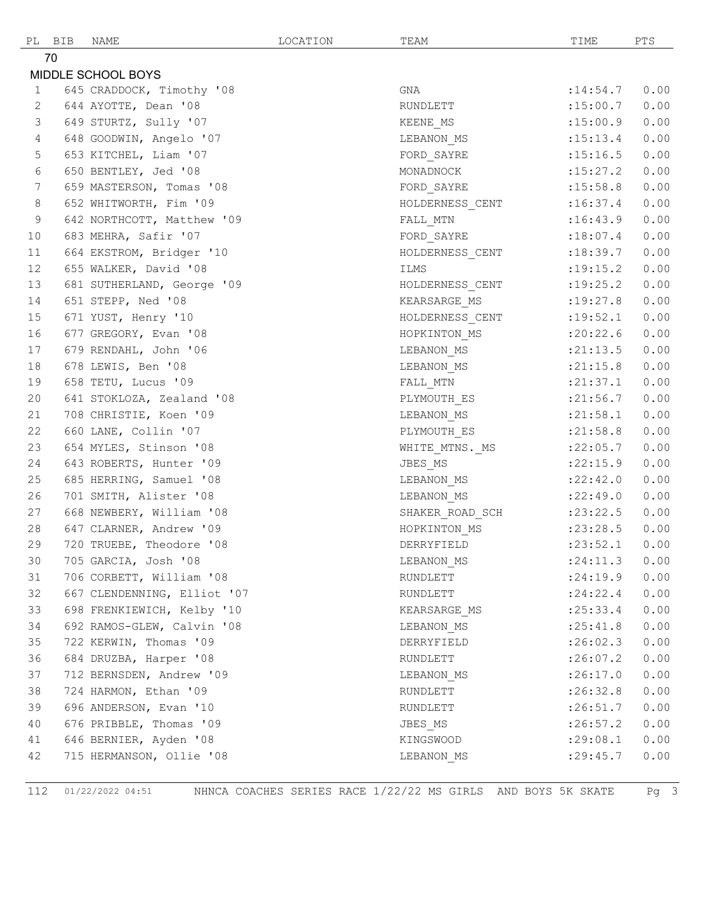|              | PL BIB | NAME                        | LOCATION | TEAM            | TIME       | PTS  |
|--------------|--------|-----------------------------|----------|-----------------|------------|------|
|              | 70     |                             |          |                 |            |      |
|              |        | MIDDLE SCHOOL BOYS          |          |                 |            |      |
| $\mathbf{1}$ |        | 645 CRADDOCK, Timothy '08   |          | GNA             | : 14:54.7  | 0.00 |
| 2            |        | 644 AYOTTE, Dean '08        |          | RUNDLETT        | :15:00.7   | 0.00 |
| 3            |        | 649 STURTZ, Sully '07       |          | KEENE MS        | :15:00.9   | 0.00 |
| 4            |        | 648 GOODWIN, Angelo '07     |          | LEBANON MS      | : 15: 13.4 | 0.00 |
| 5            |        | 653 KITCHEL, Liam '07       |          | FORD SAYRE      | : 15:16.5  | 0.00 |
| 6            |        | 650 BENTLEY, Jed '08        |          | MONADNOCK       | :15:27.2   | 0.00 |
| 7            |        | 659 MASTERSON, Tomas '08    |          | FORD SAYRE      | : 15:58.8  | 0.00 |
| 8            |        | 652 WHITWORTH, Fim '09      |          | HOLDERNESS_CENT | :16:37.4   | 0.00 |
| 9            |        | 642 NORTHCOTT, Matthew '09  |          | FALL MTN        | :16:43.9   | 0.00 |
| 10           |        | 683 MEHRA, Safir '07        |          | FORD SAYRE      | :18:07.4   | 0.00 |
| 11           |        | 664 EKSTROM, Bridger '10    |          | HOLDERNESS_CENT | :18:39.7   | 0.00 |
| 12           |        | 655 WALKER, David '08       |          | ILMS            | : 19: 15.2 | 0.00 |
| 13           |        | 681 SUTHERLAND, George '09  |          | HOLDERNESS CENT | :19:25.2   | 0.00 |
| 14           |        | 651 STEPP, Ned '08          |          | KEARSARGE MS    | :19:27.8   | 0.00 |
| 15           |        | 671 YUST, Henry '10         |          | HOLDERNESS CENT | :19:52.1   | 0.00 |
| 16           |        | 677 GREGORY, Evan '08       |          | HOPKINTON MS    | :20:22.6   | 0.00 |
| 17           |        | 679 RENDAHL, John '06       |          | LEBANON_MS      | : 21: 13.5 | 0.00 |
| 18           |        | 678 LEWIS, Ben '08          |          | LEBANON MS      | : 21:15.8  | 0.00 |
| 19           |        | 658 TETU, Lucus '09         |          | FALL_MTN        | : 21: 37.1 | 0.00 |
| 20           |        | 641 STOKLOZA, Zealand '08   |          | PLYMOUTH ES     | : 21:56.7  | 0.00 |
| 21           |        | 708 CHRISTIE, Koen '09      |          | LEBANON MS      | : 21:58.1  | 0.00 |
| 22           |        | 660 LANE, Collin '07        |          | PLYMOUTH ES     | : 21:58.8  | 0.00 |
| 23           |        | 654 MYLES, Stinson '08      |          | WHITE_MTNS. MS  | :22:05.7   | 0.00 |
| 24           |        | 643 ROBERTS, Hunter '09     |          | JBES MS         | : 22: 15.9 | 0.00 |
| 25           |        | 685 HERRING, Samuel '08     |          | LEBANON_MS      | :22:42.0   | 0.00 |
| 26           |        | 701 SMITH, Alister '08      |          | LEBANON MS      | :22:49.0   | 0.00 |
| 27           |        | 668 NEWBERY, William '08    |          | SHAKER_ROAD_SCH | : 23: 22.5 | 0.00 |
| 28           |        | 647 CLARNER, Andrew '09     |          | HOPKINTON MS    | : 23: 28.5 | 0.00 |
| 29           |        | 720 TRUEBE, Theodore '08    |          | DERRYFIELD      | : 23: 52.1 | 0.00 |
| 30           |        | 705 GARCIA, Josh '08        |          | LEBANON MS      | : 24:11.3  | 0.00 |
| 31           |        | 706 CORBETT, William '08    |          | RUNDLETT        | : 24:19.9  | 0.00 |
| 32           |        | 667 CLENDENNING, Elliot '07 |          | RUNDLETT        | : 24:22.4  | 0.00 |
| 33           |        | 698 FRENKIEWICH, Kelby '10  |          | KEARSARGE MS    | : 25: 33.4 | 0.00 |
| 34           |        | 692 RAMOS-GLEW, Calvin '08  |          | LEBANON MS      | : 25: 41.8 | 0.00 |
| 35           |        | 722 KERWIN, Thomas '09      |          | DERRYFIELD      | :26:02.3   | 0.00 |
| 36           |        | 684 DRUZBA, Harper '08      |          | RUNDLETT        | :26:07.2   | 0.00 |
| 37           |        | 712 BERNSDEN, Andrew '09    |          | LEBANON_MS      | :26:17.0   | 0.00 |
| 38           |        | 724 HARMON, Ethan '09       |          | RUNDLETT        | :26:32.8   | 0.00 |
| 39           |        | 696 ANDERSON, Evan '10      |          | RUNDLETT        | :26:51.7   | 0.00 |
| 40           |        | 676 PRIBBLE, Thomas '09     |          | JBES MS         | :26:57.2   | 0.00 |
| 41           |        | 646 BERNIER, Ayden '08      |          | KINGSWOOD       | :29:08.1   | 0.00 |
| 42           |        | 715 HERMANSON, Ollie '08    |          | LEBANON MS      | : 29: 45.7 | 0.00 |

01/22/2022 04:51 NHNCA COACHES SERIES RACE 1/22/22 MS GIRLS AND BOYS 5K SKATE Pg 3